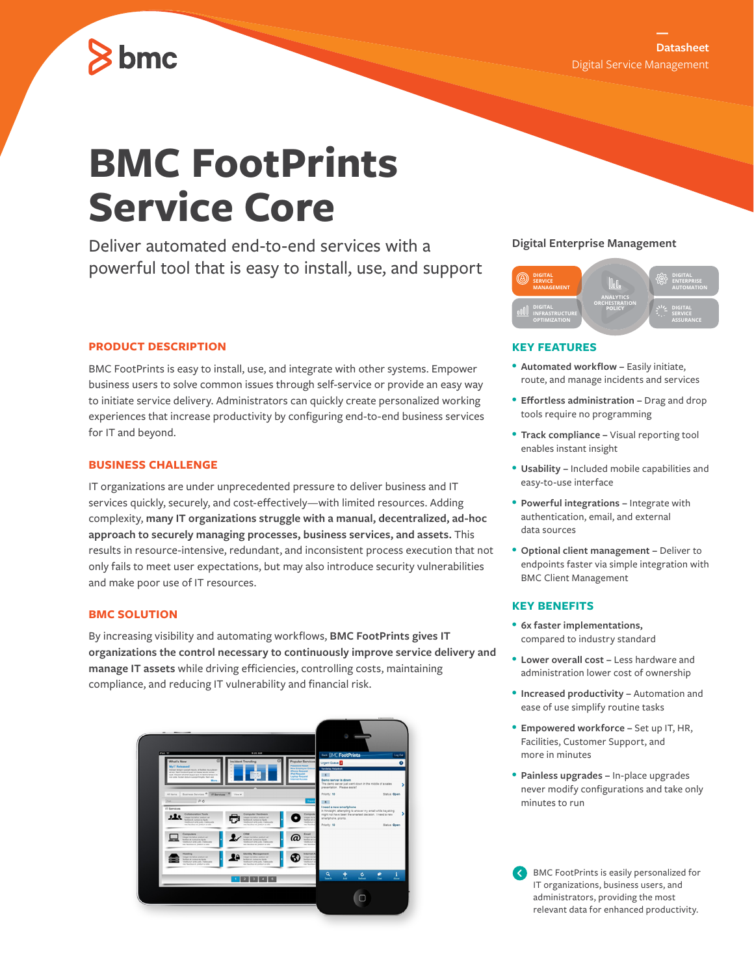# bmc

# **BMC FootPrints Service Core**

Deliver automated end-to-end services with a powerful tool that is easy to install, use, and support

# **PRODUCT DESCRIPTION**

BMC FootPrints is easy to install, use, and integrate with other systems. Empower business users to solve common issues through self-service or provide an easy way to initiate service delivery. Administrators can quickly create personalized working experiences that increase productivity by configuring end-to-end business services for IT and beyond.

## **BUSINESS CHALLENGE**

IT organizations are under unprecedented pressure to deliver business and IT services quickly, securely, and cost-effectively—with limited resources. Adding complexity, **many IT organizations struggle with a manual, decentralized, ad-hoc approach to securely managing processes, business services, and assets.** This results in resource-intensive, redundant, and inconsistent process execution that not only fails to meet user expectations, but may also introduce security vulnerabilities and make poor use of IT resources.

# **BMC SOLUTION**

By increasing visibility and automating workflows, **BMC FootPrints gives IT organizations the control necessary to continuously improve service delivery and manage IT assets** while driving efficiencies, controlling costs, maintaining compliance, and reducing IT vulnerability and financial risk.



## **Digital Enterprise Management**



# **KEY FEATURES**

- **Automated workflow** Easily initiate, route, and manage incidents and services
- **Effortless administration** Drag and drop tools require no programming
- **Track compliance** Visual reporting tool enables instant insight
- **Usability –** Included mobile capabilities and easy-to-use interface
- **Powerful integrations** Integrate with authentication, email, and external data sources
- **Optional client management –** Deliver to endpoints faster via simple integration with BMC Client Management

#### **KEY BENEFITS**

- **6x faster implementations,**  compared to industry standard
- **Lower overall cost** Less hardware and administration lower cost of ownership
- **Increased productivity** Automation and ease of use simplify routine tasks
- **Empowered workforce –** Set up IT, HR, Facilities, Customer Support, and more in minutes
- **Painless upgrades –** In-place upgrades never modify configurations and take only minutes to run

BMC FootPrints is easily personalized for IT organizations, business users, and administrators, providing the most relevant data for enhanced productivity.